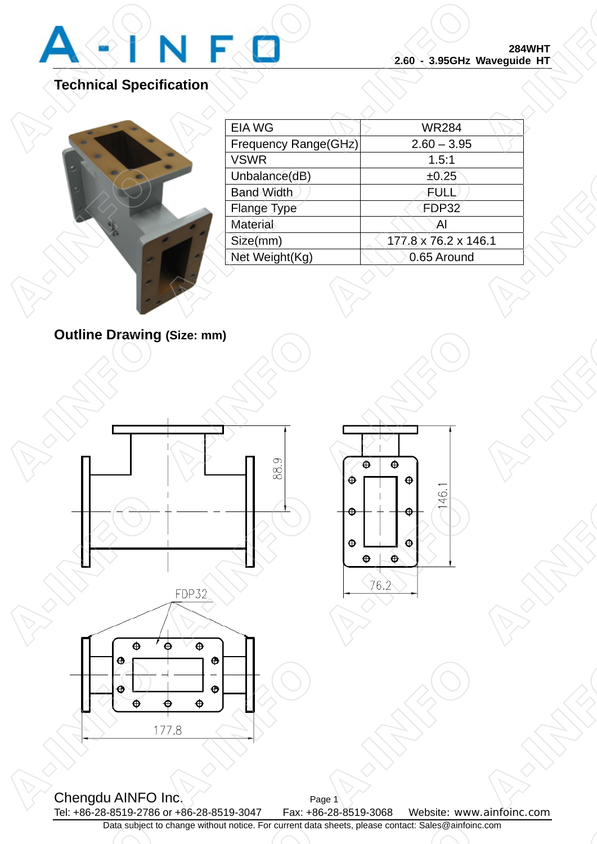

**P-INFORMATION** 

**P-INFORMATION** 

## **Technical Specification**

|          |                      | <b>284WHT</b><br>2.60 - 3.95GHz Waveguide HT |  |
|----------|----------------------|----------------------------------------------|--|
| fication |                      |                                              |  |
|          | <b>EIA WG</b>        | <b>WR284</b>                                 |  |
|          | Frequency Range(GHz) | $2.60 - 3.95$                                |  |
|          | <b>VSWR</b>          | 1.5:1                                        |  |
|          | Unbalance(dB)        | ±0.25                                        |  |
|          | <b>Band Width</b>    | FULL                                         |  |
|          | Flange Type          | FDP32                                        |  |
|          | <b>Material</b>      | Al                                           |  |
|          | Size(mm)             | 177.8 x 76.2 x 146.1                         |  |
|          | Net Weight(Kg)       | 0.65 Around                                  |  |

**Outline Drawing (Size: mm)**

A-INFO







Chengdu AINFO Inc. Page 1 Tel: +86-28-8519-2786 or +86-28-8519-3047 Fax: +86-28-8519-3068 Website: www.ainfoinc.com Data subject to change without notice. For current data sheets, please contact: Sales@ainfoinc.com  $\frac{1}{\sqrt{100}}$ **A-INFORMATION** Data subject to c o change without notice. For current data sl a sheets, please contact: Sales@ainfoinc.c  $\frac{1}{\sqrt{1-\frac{1}{\sqrt{1-\frac{1}{\sqrt{1-\frac{1}{\sqrt{1-\frac{1}{\sqrt{1-\frac{1}{\sqrt{1-\frac{1}{\sqrt{1-\frac{1}{\sqrt{1-\frac{1}{\sqrt{1-\frac{1}{\sqrt{1-\frac{1}{\sqrt{1-\frac{1}{\sqrt{1-\frac{1}{\sqrt{1-\frac{1}{\sqrt{1-\frac{1}{\sqrt{1-\frac{1}{\sqrt{1-\frac{1}{\sqrt{1-\frac{1}{\sqrt{1-\frac{1}{\sqrt{1-\frac{1}{\sqrt{1-\frac{1}{\sqrt{1-\frac{1}{\sqrt{1-\frac{1}{\sqrt{1-\frac{1}{\sqrt{1-\frac{1$